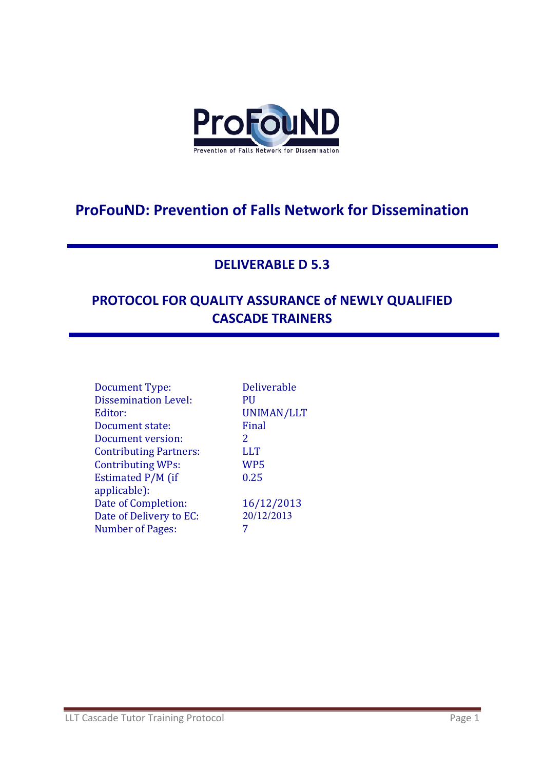

# **ProFouND: Prevention of Falls Network for Dissemination**

### **DELIVERABLE D 5.3**

# **PROTOCOL FOR QUALITY ASSURANCE of NEWLY QUALIFIED CASCADE TRAINERS**

| <b>Deliverable</b> |
|--------------------|
| PH                 |
| UNIMAN/LLT         |
| Final              |
| $\mathcal{P}$      |
| <b>LLT</b>         |
| WP5                |
| 0.25               |
|                    |
| 16/12/2013         |
| 20/12/2013         |
|                    |
|                    |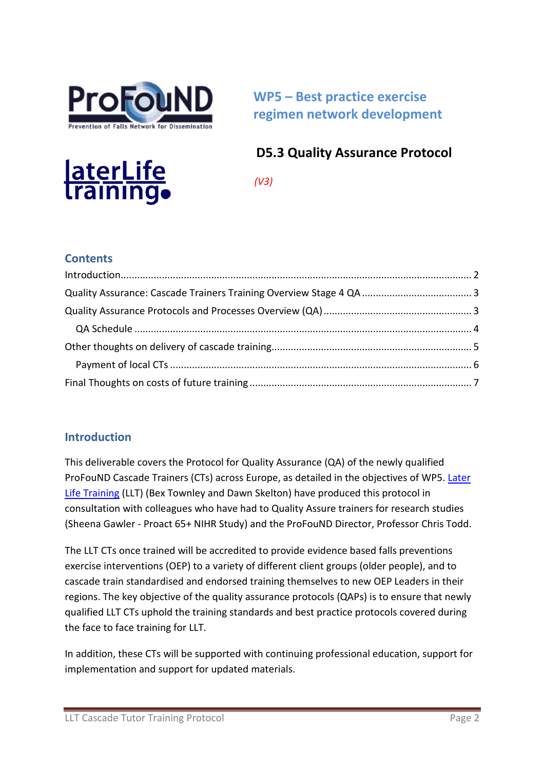

**WP5 – Best practice exercise regimen network development**

## **D5.3 Quality Assurance Protocol**



 *(V3)* 

### **Contents**

### <span id="page-1-0"></span>**Introduction**

This deliverable covers the Protocol for Quality Assurance (QA) of the newly qualified ProFouND Cascade Trainers (CTs) across Europe, as detailed in the objectives of WP5. Later [Life Training](http://www.laterlifetraining.co.uk/) (LLT) (Bex Townley and Dawn Skelton) have produced this protocol in consultation with colleagues who have had to Quality Assure trainers for research studies (Sheena Gawler - Proact 65+ NIHR Study) and the ProFouND Director, Professor Chris Todd.

The LLT CTs once trained will be accredited to provide evidence based falls preventions exercise interventions (OEP) to a variety of different client groups (older people), and to cascade train standardised and endorsed training themselves to new OEP Leaders in their regions. The key objective of the quality assurance protocols (QAPs) is to ensure that newly qualified LLT CTs uphold the training standards and best practice protocols covered during the face to face training for LLT.

In addition, these CTs will be supported with continuing professional education, support for implementation and support for updated materials.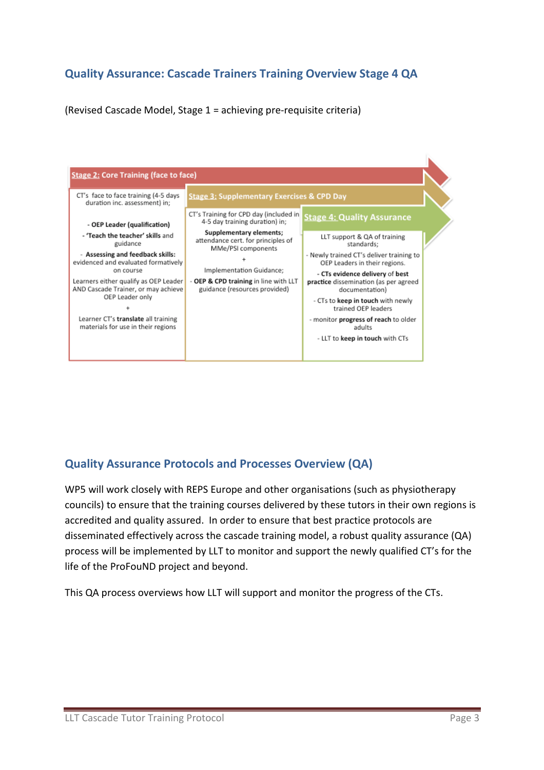### <span id="page-2-0"></span>**Quality Assurance: Cascade Trainers Training Overview Stage 4 QA**

(Revised Cascade Model, Stage 1 = achieving pre-requisite criteria)



### <span id="page-2-1"></span>**Quality Assurance Protocols and Processes Overview (QA)**

WP5 will work closely with REPS Europe and other organisations (such as physiotherapy councils) to ensure that the training courses delivered by these tutors in their own regions is accredited and quality assured. In order to ensure that best practice protocols are disseminated effectively across the cascade training model, a robust quality assurance (QA) process will be implemented by LLT to monitor and support the newly qualified CT's for the life of the ProFouND project and beyond.

This QA process overviews how LLT will support and monitor the progress of the CTs.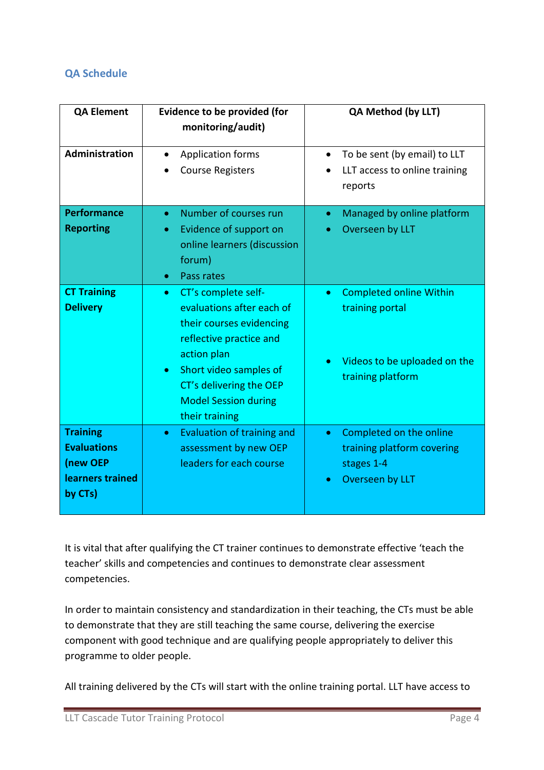#### <span id="page-3-0"></span>**QA Schedule**

| <b>QA Element</b>                                                                | <b>Evidence to be provided (for</b><br>monitoring/audit)                                                                                                                                                                                               | <b>QA Method (by LLT)</b>                                                                                           |
|----------------------------------------------------------------------------------|--------------------------------------------------------------------------------------------------------------------------------------------------------------------------------------------------------------------------------------------------------|---------------------------------------------------------------------------------------------------------------------|
| Administration                                                                   | <b>Application forms</b><br><b>Course Registers</b>                                                                                                                                                                                                    | To be sent (by email) to LLT<br>LLT access to online training<br>reports                                            |
| <b>Performance</b><br><b>Reporting</b>                                           | Number of courses run<br>$\bullet$<br>Evidence of support on<br>$\bullet$<br>online learners (discussion<br>forum)<br>Pass rates<br>$\bullet$                                                                                                          | Managed by online platform<br>$\bullet$<br>Overseen by LLT                                                          |
| <b>CT Training</b><br><b>Delivery</b>                                            | CT's complete self-<br>$\bullet$<br>evaluations after each of<br>their courses evidencing<br>reflective practice and<br>action plan<br>Short video samples of<br>$\bullet$<br>CT's delivering the OEP<br><b>Model Session during</b><br>their training | <b>Completed online Within</b><br>$\bullet$<br>training portal<br>Videos to be uploaded on the<br>training platform |
| <b>Training</b><br><b>Evaluations</b><br>(new OEP<br>learners trained<br>by CTs) | Evaluation of training and<br>$\bullet$<br>assessment by new OEP<br>leaders for each course                                                                                                                                                            | Completed on the online<br>$\bullet$<br>training platform covering<br>stages 1-4<br>Overseen by LLT<br>۰            |

It is vital that after qualifying the CT trainer continues to demonstrate effective 'teach the teacher' skills and competencies and continues to demonstrate clear assessment competencies.

In order to maintain consistency and standardization in their teaching, the CTs must be able to demonstrate that they are still teaching the same course, delivering the exercise component with good technique and are qualifying people appropriately to deliver this programme to older people.

All training delivered by the CTs will start with the online training portal. LLT have access to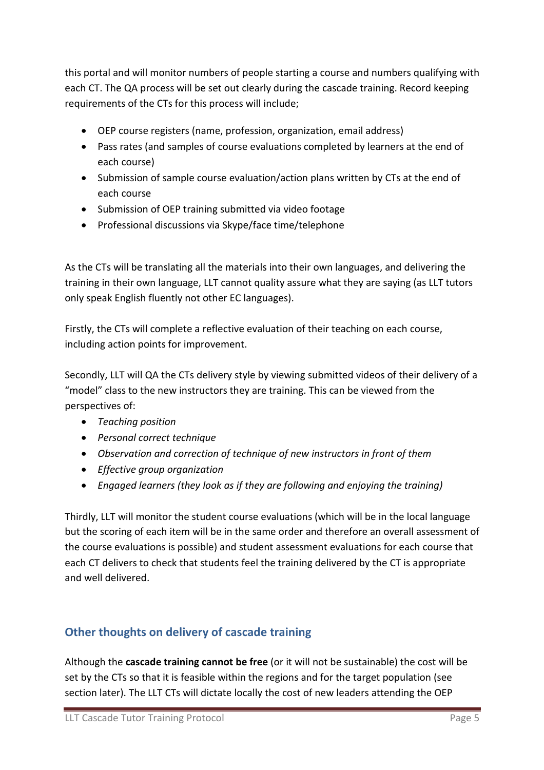this portal and will monitor numbers of people starting a course and numbers qualifying with each CT. The QA process will be set out clearly during the cascade training. Record keeping requirements of the CTs for this process will include;

- OEP course registers (name, profession, organization, email address)
- Pass rates (and samples of course evaluations completed by learners at the end of each course)
- Submission of sample course evaluation/action plans written by CTs at the end of each course
- Submission of OEP training submitted via video footage
- Professional discussions via Skype/face time/telephone

As the CTs will be translating all the materials into their own languages, and delivering the training in their own language, LLT cannot quality assure what they are saying (as LLT tutors only speak English fluently not other EC languages).

Firstly, the CTs will complete a reflective evaluation of their teaching on each course, including action points for improvement.

Secondly, LLT will QA the CTs delivery style by viewing submitted videos of their delivery of a "model" class to the new instructors they are training. This can be viewed from the perspectives of:

- *Teaching position*
- *Personal correct technique*
- *Observation and correction of technique of new instructors in front of them*
- *Effective group organization*
- *Engaged learners (they look as if they are following and enjoying the training)*

Thirdly, LLT will monitor the student course evaluations (which will be in the local language but the scoring of each item will be in the same order and therefore an overall assessment of the course evaluations is possible) and student assessment evaluations for each course that each CT delivers to check that students feel the training delivered by the CT is appropriate and well delivered.

### <span id="page-4-0"></span>**Other thoughts on delivery of cascade training**

Although the **cascade training cannot be free** (or it will not be sustainable) the cost will be set by the CTs so that it is feasible within the regions and for the target population (see section later). The LLT CTs will dictate locally the cost of new leaders attending the OEP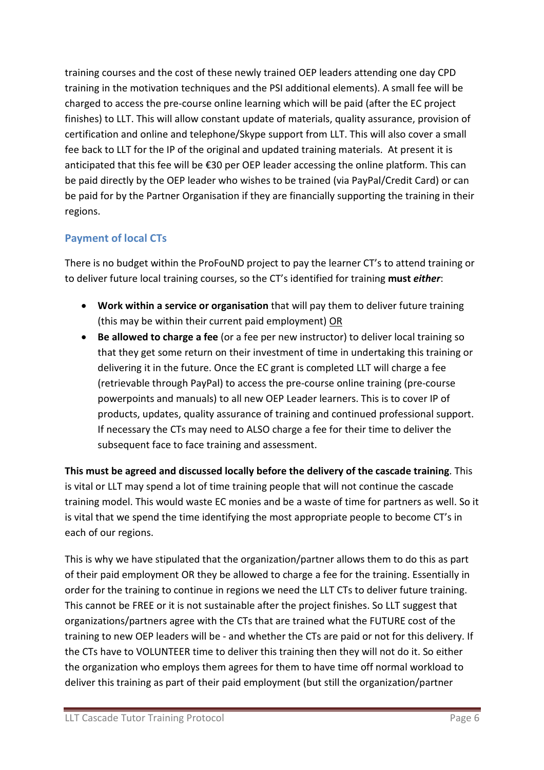training courses and the cost of these newly trained OEP leaders attending one day CPD training in the motivation techniques and the PSI additional elements). A small fee will be charged to access the pre-course online learning which will be paid (after the EC project finishes) to LLT. This will allow constant update of materials, quality assurance, provision of certification and online and telephone/Skype support from LLT. This will also cover a small fee back to LLT for the IP of the original and updated training materials. At present it is anticipated that this fee will be €30 per OEP leader accessing the online platform. This can be paid directly by the OEP leader who wishes to be trained (via PayPal/Credit Card) or can be paid for by the Partner Organisation if they are financially supporting the training in their regions.

#### <span id="page-5-0"></span>**Payment of local CTs**

There is no budget within the ProFouND project to pay the learner CT's to attend training or to deliver future local training courses, so the CT's identified for training **must** *either*:

- **Work within a service or organisation** that will pay them to deliver future training (this may be within their current paid employment) OR
- **Be allowed to charge a fee** (or a fee per new instructor) to deliver local training so that they get some return on their investment of time in undertaking this training or delivering it in the future. Once the EC grant is completed LLT will charge a fee (retrievable through PayPal) to access the pre-course online training (pre-course powerpoints and manuals) to all new OEP Leader learners. This is to cover IP of products, updates, quality assurance of training and continued professional support. If necessary the CTs may need to ALSO charge a fee for their time to deliver the subsequent face to face training and assessment.

**This must be agreed and discussed locally before the delivery of the cascade training**. This is vital or LLT may spend a lot of time training people that will not continue the cascade training model. This would waste EC monies and be a waste of time for partners as well. So it is vital that we spend the time identifying the most appropriate people to become CT's in each of our regions.

This is why we have stipulated that the organization/partner allows them to do this as part of their paid employment OR they be allowed to charge a fee for the training. Essentially in order for the training to continue in regions we need the LLT CTs to deliver future training. This cannot be FREE or it is not sustainable after the project finishes. So LLT suggest that organizations/partners agree with the CTs that are trained what the FUTURE cost of the training to new OEP leaders will be - and whether the CTs are paid or not for this delivery. If the CTs have to VOLUNTEER time to deliver this training then they will not do it. So either the organization who employs them agrees for them to have time off normal workload to deliver this training as part of their paid employment (but still the organization/partner